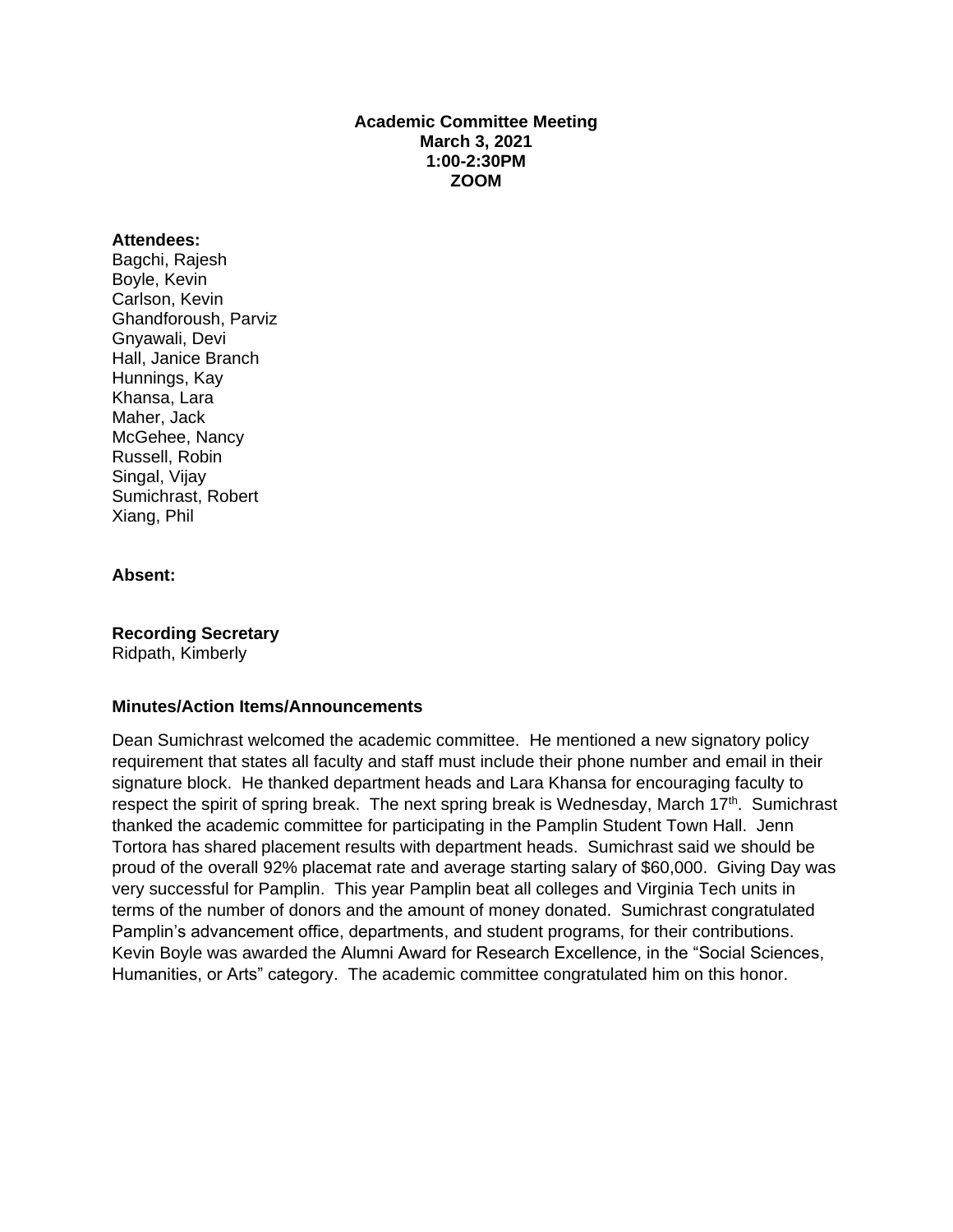### **Academic Committee Meeting March 3, 2021 1:00-2:30PM ZOOM**

#### **Attendees:**

Bagchi, Rajesh Boyle, Kevin Carlson, Kevin Ghandforoush, Parviz Gnyawali, Devi Hall, Janice Branch Hunnings, Kay Khansa, Lara Maher, Jack McGehee, Nancy Russell, Robin Singal, Vijay Sumichrast, Robert Xiang, Phil

### **Absent:**

**Recording Secretary**

Ridpath, Kimberly

### **Minutes/Action Items/Announcements**

Dean Sumichrast welcomed the academic committee. He mentioned a new signatory policy requirement that states all faculty and staff must include their phone number and email in their signature block. He thanked department heads and Lara Khansa for encouraging faculty to respect the spirit of spring break. The next spring break is Wednesday, March 17<sup>th</sup>. Sumichrast thanked the academic committee for participating in the Pamplin Student Town Hall. Jenn Tortora has shared placement results with department heads. Sumichrast said we should be proud of the overall 92% placemat rate and average starting salary of \$60,000. Giving Day was very successful for Pamplin. This year Pamplin beat all colleges and Virginia Tech units in terms of the number of donors and the amount of money donated. Sumichrast congratulated Pamplin's advancement office, departments, and student programs, for their contributions. Kevin Boyle was awarded the Alumni Award for Research Excellence, in the "Social Sciences, Humanities, or Arts" category. The academic committee congratulated him on this honor.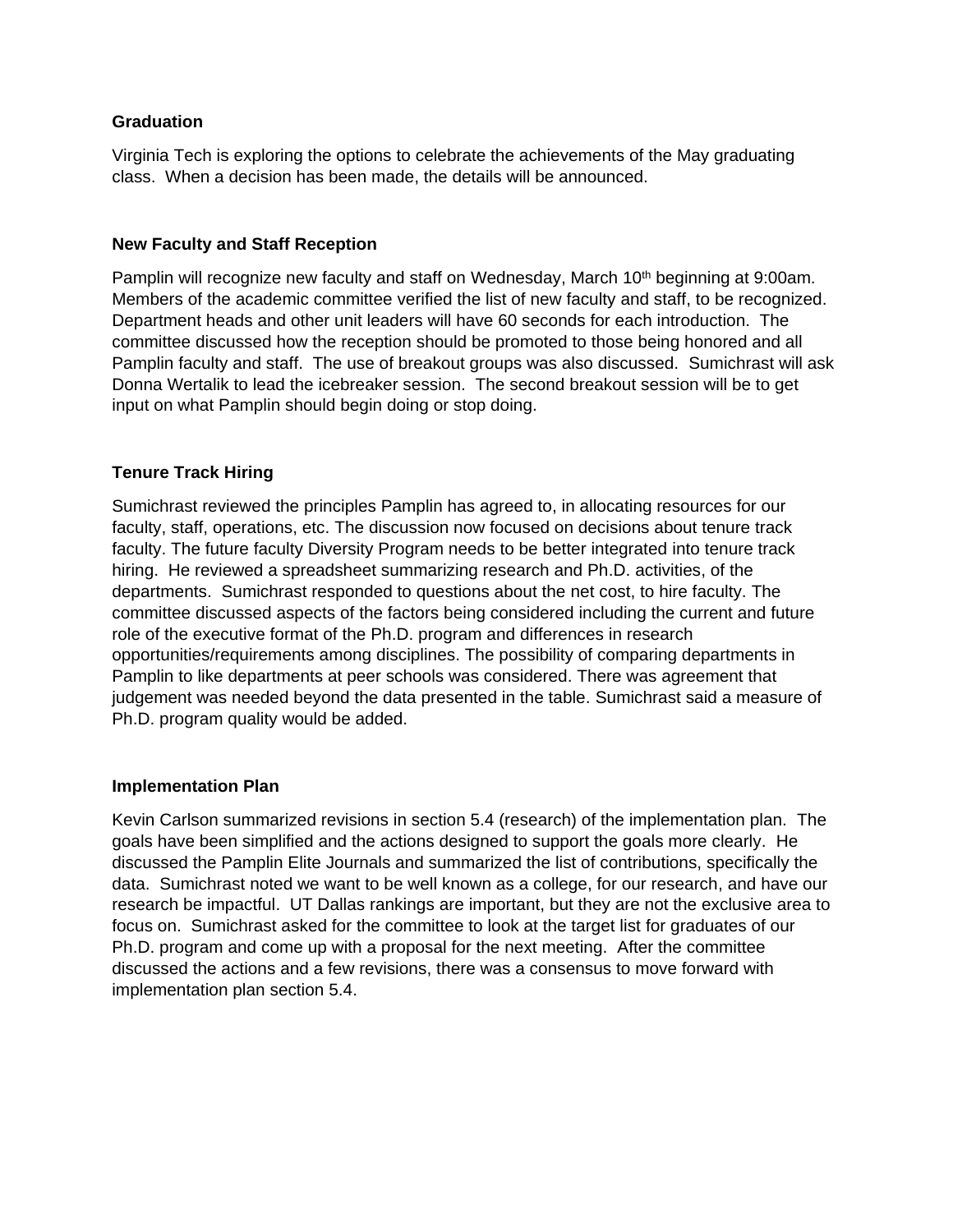# **Graduation**

Virginia Tech is exploring the options to celebrate the achievements of the May graduating class. When a decision has been made, the details will be announced.

### **New Faculty and Staff Reception**

Pamplin will recognize new faculty and staff on Wednesday, March 10<sup>th</sup> beginning at 9:00am. Members of the academic committee verified the list of new faculty and staff, to be recognized. Department heads and other unit leaders will have 60 seconds for each introduction. The committee discussed how the reception should be promoted to those being honored and all Pamplin faculty and staff. The use of breakout groups was also discussed. Sumichrast will ask Donna Wertalik to lead the icebreaker session. The second breakout session will be to get input on what Pamplin should begin doing or stop doing.

# **Tenure Track Hiring**

Sumichrast reviewed the principles Pamplin has agreed to, in allocating resources for our faculty, staff, operations, etc. The discussion now focused on decisions about tenure track faculty. The future faculty Diversity Program needs to be better integrated into tenure track hiring. He reviewed a spreadsheet summarizing research and Ph.D. activities, of the departments. Sumichrast responded to questions about the net cost, to hire faculty. The committee discussed aspects of the factors being considered including the current and future role of the executive format of the Ph.D. program and differences in research opportunities/requirements among disciplines. The possibility of comparing departments in Pamplin to like departments at peer schools was considered. There was agreement that judgement was needed beyond the data presented in the table. Sumichrast said a measure of Ph.D. program quality would be added.

### **Implementation Plan**

Kevin Carlson summarized revisions in section 5.4 (research) of the implementation plan. The goals have been simplified and the actions designed to support the goals more clearly. He discussed the Pamplin Elite Journals and summarized the list of contributions, specifically the data. Sumichrast noted we want to be well known as a college, for our research, and have our research be impactful. UT Dallas rankings are important, but they are not the exclusive area to focus on. Sumichrast asked for the committee to look at the target list for graduates of our Ph.D. program and come up with a proposal for the next meeting. After the committee discussed the actions and a few revisions, there was a consensus to move forward with implementation plan section 5.4.